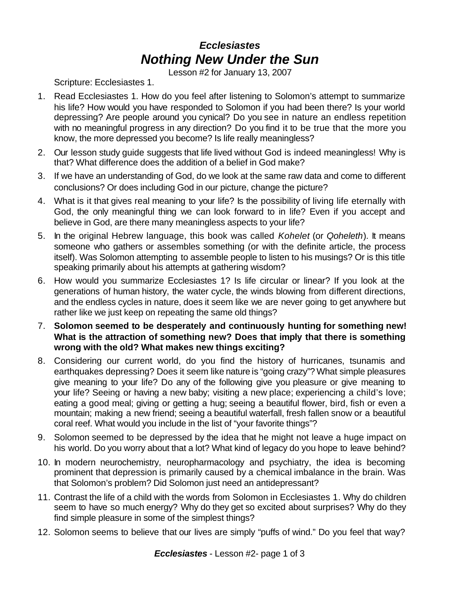## *Ecclesiastes Nothing New Under the Sun*

Lesson #2 for January 13, 2007

Scripture: Ecclesiastes 1.

- 1. Read Ecclesiastes 1. How do you feel after listening to Solomon's attempt to summarize his life? How would you have responded to Solomon if you had been there? Is your world depressing? Are people around you cynical? Do you see in nature an endless repetition with no meaningful progress in any direction? Do you find it to be true that the more you know, the more depressed you become? Is life really meaningless?
- 2. Our lesson study guide suggests that life lived without God is indeed meaningless! Why is that? What difference does the addition of a belief in God make?
- 3. If we have an understanding of God, do we look at the same raw data and come to different conclusions? Or does including God in our picture, change the picture?
- 4. What is it that gives real meaning to your life? Is the possibility of living life eternally with God, the only meaningful thing we can look forward to in life? Even if you accept and believe in God, are there many meaningless aspects to your life?
- 5. In the original Hebrew language, this book was called *Kohelet* (or *Qoheleth*). It means someone who gathers or assembles something (or with the definite article, the process itself). Was Solomon attempting to assemble people to listen to his musings? Or is this title speaking primarily about his attempts at gathering wisdom?
- 6. How would you summarize Ecclesiastes 1? Is life circular or linear? If you look at the generations of human history, the water cycle, the winds blowing from different directions, and the endless cycles in nature, does it seem like we are never going to get anywhere but rather like we just keep on repeating the same old things?
- 7. **Solomon seemed to be desperately and continuously hunting for something new! What is the attraction of something new? Does that imply that there is something wrong with the old? What makes new things exciting?**
- 8. Considering our current world, do you find the history of hurricanes, tsunamis and earthquakes depressing? Does it seem like nature is "going crazy"? What simple pleasures give meaning to your life? Do any of the following give you pleasure or give meaning to your life? Seeing or having a new baby; visiting a new place; experiencing a child's love; eating a good meal; giving or getting a hug; seeing a beautiful flower, bird, fish or even a mountain; making a new friend; seeing a beautiful waterfall, fresh fallen snow or a beautiful coral reef. What would you include in the list of "your favorite things"?
- 9. Solomon seemed to be depressed by the idea that he might not leave a huge impact on his world. Do you worry about that a lot? What kind of legacy do you hope to leave behind?
- 10. In modern neurochemistry, neuropharmacology and psychiatry, the idea is becoming prominent that depression is primarily caused by a chemical imbalance in the brain. Was that Solomon's problem? Did Solomon just need an antidepressant?
- 11. Contrast the life of a child with the words from Solomon in Ecclesiastes 1. Why do children seem to have so much energy? Why do they get so excited about surprises? Why do they find simple pleasure in some of the simplest things?
- 12. Solomon seems to believe that our lives are simply "puffs of wind." Do you feel that way?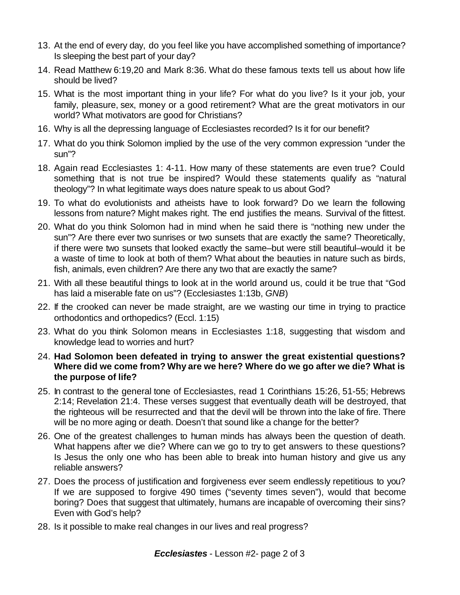- 13. At the end of every day, do you feel like you have accomplished something of importance? Is sleeping the best part of your day?
- 14. Read Matthew 6:19,20 and Mark 8:36. What do these famous texts tell us about how life should be lived?
- 15. What is the most important thing in your life? For what do you live? Is it your job, your family, pleasure, sex, money or a good retirement? What are the great motivators in our world? What motivators are good for Christians?
- 16. Why is all the depressing language of Ecclesiastes recorded? Is it for our benefit?
- 17. What do you think Solomon implied by the use of the very common expression "under the sun"?
- 18. Again read Ecclesiastes 1: 4-11. How many of these statements are even true? Could something that is not true be inspired? Would these statements qualify as "natural theology"? In what legitimate ways does nature speak to us about God?
- 19. To what do evolutionists and atheists have to look forward? Do we learn the following lessons from nature? Might makes right. The end justifies the means. Survival of the fittest.
- 20. What do you think Solomon had in mind when he said there is "nothing new under the sun"? Are there ever two sunrises or two sunsets that are exactly the same? Theoretically, if there were two sunsets that looked exactly the same–but were still beautiful–would it be a waste of time to look at both of them? What about the beauties in nature such as birds, fish, animals, even children? Are there any two that are exactly the same?
- 21. With all these beautiful things to look at in the world around us, could it be true that "God has laid a miserable fate on us"? (Ecclesiastes 1:13b, *GNB*)
- 22. If the crooked can never be made straight, are we wasting our time in trying to practice orthodontics and orthopedics? (Eccl. 1:15)
- 23. What do you think Solomon means in Ecclesiastes 1:18, suggesting that wisdom and knowledge lead to worries and hurt?
- 24. **Had Solomon been defeated in trying to answer the great existential questions? Where did we come from? Why are we here? Where do we go after we die? What is the purpose of life?**
- 25. In contrast to the general tone of Ecclesiastes, read 1 Corinthians 15:26, 51-55; Hebrews 2:14; Revelation 21:4. These verses suggest that eventually death will be destroyed, that the righteous will be resurrected and that the devil will be thrown into the lake of fire. There will be no more aging or death. Doesn't that sound like a change for the better?
- 26. One of the greatest challenges to human minds has always been the question of death. What happens after we die? Where can we go to try to get answers to these questions? Is Jesus the only one who has been able to break into human history and give us any reliable answers?
- 27. Does the process of justification and forgiveness ever seem endlessly repetitious to you? If we are supposed to forgive 490 times ("seventy times seven"), would that become boring? Does that suggest that ultimately, humans are incapable of overcoming their sins? Even with God's help?
- 28. Is it possible to make real changes in our lives and real progress?